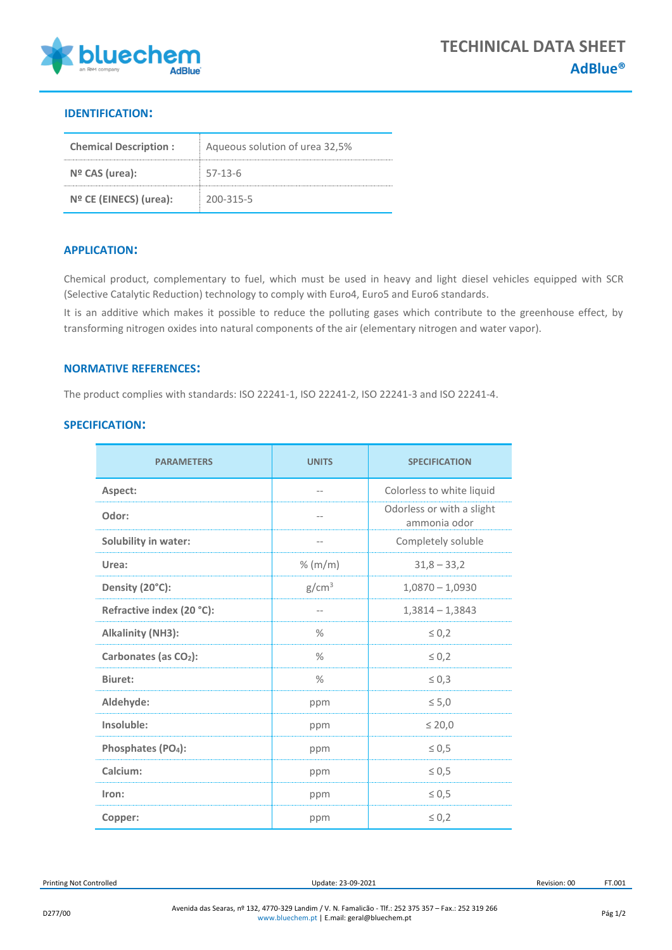

## **IDENTIFICATION:**

| <b>Chemical Description:</b> | Aqueous solution of urea 32,5% |  |
|------------------------------|--------------------------------|--|
| $No$ CAS (urea):             | $57-13-6$                      |  |
| $No$ CE (EINECS) (urea):     | 200-315-5                      |  |

## **APPLICATION:**

Chemical product, complementary to fuel, which must be used in heavy and light diesel vehicles equipped with SCR (Selective Catalytic Reduction) technology to comply with Euro4, Euro5 and Euro6 standards.

It is an additive which makes it possible to reduce the polluting gases which contribute to the greenhouse effect, by transforming nitrogen oxides into natural components of the air (elementary nitrogen and water vapor).

## **NORMATIVE REFERENCES:**

The product complies with standards: ISO 22241-1, ISO 22241-2, ISO 22241-3 and ISO 22241-4.

|  | <b>SPECIFICATION:</b> |  |
|--|-----------------------|--|
|  |                       |  |

| <b>PARAMETERS</b>                 | <b>UNITS</b>      | <b>SPECIFICATION</b>                      |
|-----------------------------------|-------------------|-------------------------------------------|
| Aspect:                           | $- -$             | Colorless to white liquid                 |
| Odor:                             | --                | Odorless or with a slight<br>ammonia odor |
| Solubility in water:              | --                | Completely soluble                        |
| Urea:                             | % (m/m)           | $31,8 - 33,2$                             |
| Density (20°C):                   | g/cm <sup>3</sup> | $1,0870 - 1,0930$                         |
| Refractive index (20 °C):         | $- -$             | $1,3814 - 1,3843$                         |
| <b>Alkalinity (NH3):</b>          | $\%$              | $\leq 0,2$                                |
| Carbonates (as CO <sub>2</sub> ): | $\%$              | $\leq 0.2$                                |
| <b>Biuret:</b>                    | $\frac{0}{2}$     | $\leq 0,3$                                |
| Aldehyde:                         | ppm               | $\leq 5,0$                                |
| Insoluble:                        | ppm               | $\leq 20,0$                               |
| Phosphates (PO <sub>4</sub> ):    | ppm               | $\leq 0.5$                                |
| Calcium:                          | ppm               | $\leq 0.5$                                |
| Iron:                             | ppm               | $\leq 0,5$                                |
| Copper:                           | ppm               | $\leq 0,2$                                |

Printing Not Controlled **Example 23-09-2021** Printing Not Controlled **Update: 23-09-2021** Revision: 00 FT.001